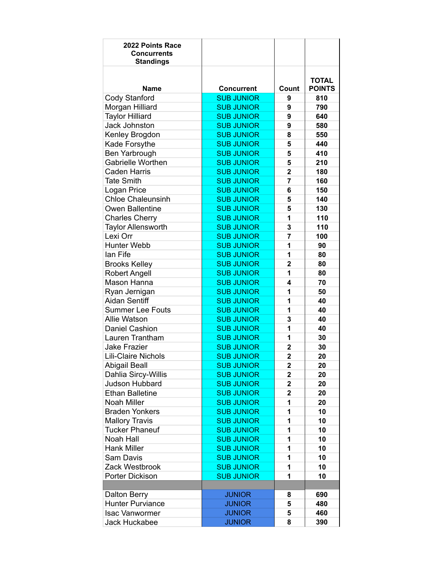| 2022 Points Race<br><b>Concurrents</b><br><b>Standings</b> |                   |                         |                               |
|------------------------------------------------------------|-------------------|-------------------------|-------------------------------|
| <b>Name</b>                                                | <b>Concurrent</b> | Count                   | <b>TOTAL</b><br><b>POINTS</b> |
| <b>Cody Stanford</b>                                       | <b>SUB JUNIOR</b> | 9                       | 810                           |
| Morgan Hilliard                                            | <b>SUB JUNIOR</b> | 9                       | 790                           |
| <b>Taylor Hilliard</b>                                     | <b>SUB JUNIOR</b> | 9                       | 640                           |
| <b>Jack Johnston</b>                                       | <b>SUB JUNIOR</b> | 9                       | 580                           |
| Kenley Brogdon                                             | <b>SUB JUNIOR</b> | 8                       | 550                           |
| Kade Forsythe                                              | <b>SUB JUNIOR</b> | 5                       | 440                           |
| Ben Yarbrough                                              | <b>SUB JUNIOR</b> | 5                       | 410                           |
| Gabrielle Worthen                                          | <b>SUB JUNIOR</b> | 5                       | 210                           |
| <b>Caden Harris</b>                                        | <b>SUB JUNIOR</b> | $\overline{2}$          | 180                           |
| <b>Tate Smith</b>                                          | <b>SUB JUNIOR</b> | 7                       | 160                           |
| Logan Price                                                | <b>SUB JUNIOR</b> | 6                       | 150                           |
| <b>Chloe Chaleunsinh</b>                                   | <b>SUB JUNIOR</b> | 5                       | 140                           |
| Owen Ballentine                                            | <b>SUB JUNIOR</b> | 5                       | 130                           |
| <b>Charles Cherry</b>                                      | <b>SUB JUNIOR</b> | 1                       | 110                           |
| <b>Taylor Allensworth</b>                                  | <b>SUB JUNIOR</b> | 3                       | 110                           |
| Lexi Orr                                                   | <b>SUB JUNIOR</b> | 7                       | 100                           |
| <b>Hunter Webb</b>                                         | <b>SUB JUNIOR</b> | 1                       | 90                            |
| lan Fife                                                   | <b>SUB JUNIOR</b> | 1                       | 80                            |
| <b>Brooks Kelley</b>                                       | <b>SUB JUNIOR</b> | $\overline{2}$          | 80                            |
| <b>Robert Angell</b>                                       | <b>SUB JUNIOR</b> | 1                       | 80                            |
| Mason Hanna                                                | <b>SUB JUNIOR</b> | 4                       | 70                            |
| Ryan Jernigan                                              | <b>SUB JUNIOR</b> | 1                       | 50                            |
| <b>Aidan Sentiff</b>                                       | <b>SUB JUNIOR</b> | 1                       | 40                            |
| <b>Summer Lee Fouts</b>                                    | <b>SUB JUNIOR</b> | 1                       | 40                            |
| <b>Allie Watson</b>                                        | <b>SUB JUNIOR</b> | 3                       | 40                            |
| <b>Daniel Cashion</b>                                      | <b>SUB JUNIOR</b> | 1                       | 40                            |
| Lauren Trantham                                            | <b>SUB JUNIOR</b> | 1                       | 30                            |
| <b>Jake Frazier</b>                                        | <b>SUB JUNIOR</b> | 2                       | 30                            |
| <b>Lili-Claire Nichols</b>                                 | <b>SUB JUNIOR</b> | $\overline{2}$          | 20                            |
| <b>Abigail Beall</b>                                       | <b>SUB JUNIOR</b> | $\mathbf 2$             | 20                            |
| Dahlia Sircy-Willis                                        | <b>SUB JUNIOR</b> | $\mathbf 2$             | 20                            |
| Judson Hubbard                                             | <b>SUB JUNIOR</b> | $\overline{\mathbf{2}}$ | 20                            |
| <b>Ethan Balletine</b>                                     | <b>SUB JUNIOR</b> | $\overline{\mathbf{2}}$ | 20                            |
| Noah Miller                                                | <b>SUB JUNIOR</b> | 1                       | 20                            |
| <b>Braden Yonkers</b>                                      | <b>SUB JUNIOR</b> | 1                       | 10                            |
| <b>Mallory Travis</b>                                      | <b>SUB JUNIOR</b> | 1                       | 10                            |
| <b>Tucker Phaneuf</b>                                      | <b>SUB JUNIOR</b> | 1                       | 10                            |
| Noah Hall                                                  | <b>SUB JUNIOR</b> | 1                       | 10                            |
| <b>Hank Miller</b>                                         | <b>SUB JUNIOR</b> | 1                       | 10                            |
| Sam Davis                                                  | <b>SUB JUNIOR</b> | 1                       | 10                            |
| Zack Westbrook                                             | <b>SUB JUNIOR</b> | 1                       | 10                            |
| Porter Dickison                                            | <b>SUB JUNIOR</b> | 1                       | 10                            |
|                                                            |                   |                         |                               |
| <b>Dalton Berry</b>                                        | <b>JUNIOR</b>     | 8                       | 690                           |
| <b>Hunter Purviance</b>                                    | <b>JUNIOR</b>     | 5                       | 480                           |
| <b>Isac Vanwormer</b>                                      | <b>JUNIOR</b>     | 5                       | 460                           |
| Jack Huckabee                                              | <b>JUNIOR</b>     | 8                       | 390                           |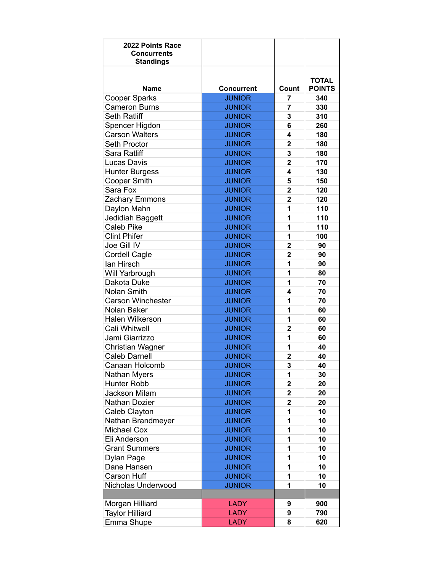| 2022 Points Race<br><b>Concurrents</b><br><b>Standings</b> |                   |                         |                               |
|------------------------------------------------------------|-------------------|-------------------------|-------------------------------|
| Name                                                       | <b>Concurrent</b> | Count                   | <b>TOTAL</b><br><b>POINTS</b> |
| <b>Cooper Sparks</b>                                       | <b>JUNIOR</b>     | 7                       | 340                           |
| <b>Cameron Burns</b>                                       | <b>JUNIOR</b>     | 7                       | 330                           |
| <b>Seth Ratliff</b>                                        | <b>JUNIOR</b>     | 3                       | 310                           |
| Spencer Higdon                                             | <b>JUNIOR</b>     | 6                       | 260                           |
| <b>Carson Walters</b>                                      | <b>JUNIOR</b>     | 4                       | 180                           |
| <b>Seth Proctor</b>                                        | <b>JUNIOR</b>     | $\mathbf{2}$            | 180                           |
| Sara Ratliff                                               | <b>JUNIOR</b>     | 3                       | 180                           |
| Lucas Davis                                                | <b>JUNIOR</b>     | $\overline{\mathbf{2}}$ | 170                           |
| <b>Hunter Burgess</b>                                      | <b>JUNIOR</b>     | 4                       | 130                           |
| <b>Cooper Smith</b>                                        | <b>JUNIOR</b>     | 5                       | 150                           |
| Sara Fox                                                   | <b>JUNIOR</b>     | $\overline{2}$          | 120                           |
| Zachary Emmons                                             | <b>JUNIOR</b>     | $\mathbf{2}$            | 120                           |
| Daylon Mahn                                                | <b>JUNIOR</b>     | 1                       | 110                           |
| Jedidiah Baggett                                           | <b>JUNIOR</b>     | 1                       | 110                           |
| <b>Caleb Pike</b>                                          | <b>JUNIOR</b>     | 1                       | 110                           |
| <b>Clint Phifer</b>                                        | <b>JUNIOR</b>     | 1                       | 100                           |
| Joe Gill IV                                                | <b>JUNIOR</b>     | $\mathbf{2}$            | 90                            |
| <b>Cordell Cagle</b>                                       | <b>JUNIOR</b>     | $\overline{2}$          | 90                            |
| lan Hirsch                                                 | <b>JUNIOR</b>     | 1                       | 90                            |
| Will Yarbrough                                             | <b>JUNIOR</b>     | 1                       | 80                            |
| Dakota Duke                                                | <b>JUNIOR</b>     | 1                       | 70                            |
| <b>Nolan Smith</b>                                         | <b>JUNIOR</b>     | 4                       | 70                            |
| <b>Carson Winchester</b>                                   | <b>JUNIOR</b>     | 1                       | 70                            |
| Nolan Baker                                                | <b>JUNIOR</b>     | 1                       | 60                            |
| <b>Halen Wilkerson</b>                                     | <b>JUNIOR</b>     | 1                       | 60                            |
| Cali Whitwell                                              | <b>JUNIOR</b>     | $\overline{2}$          | 60                            |
| Jami Giarrizzo                                             | <b>JUNIOR</b>     | 1                       | 60                            |
| Christian Wagner                                           | <b>JUNIOR</b>     | 1                       | 40                            |
| <b>Caleb Darnell</b>                                       | <b>JUNIOR</b>     | $\mathbf{2}$            | 40                            |
| Canaan Holcomb                                             | <b>JUNIOR</b>     | 3                       | 40                            |
| Nathan Myers                                               | <b>JUNIOR</b>     | 1                       | 30                            |
| Hunter Robb                                                | <b>JUNIOR</b>     | $\overline{\mathbf{2}}$ | 20                            |
| <b>Jackson Milam</b>                                       | <b>JUNIOR</b>     | $\overline{\mathbf{2}}$ | 20                            |
| Nathan Dozier                                              | <b>JUNIOR</b>     | $\overline{\mathbf{2}}$ | 20                            |
| Caleb Clayton                                              | <b>JUNIOR</b>     | 1                       | 10                            |
| Nathan Brandmeyer                                          | <b>JUNIOR</b>     | 1                       | 10                            |
| Michael Cox                                                | <b>JUNIOR</b>     | 1                       | 10                            |
| Eli Anderson                                               | <b>JUNIOR</b>     | 1                       | 10                            |
| <b>Grant Summers</b>                                       | <b>JUNIOR</b>     | 1                       | 10                            |
| Dylan Page                                                 | <b>JUNIOR</b>     | 1                       | 10                            |
| Dane Hansen                                                | <b>JUNIOR</b>     | 1                       | 10                            |
| Carson Huff                                                | <b>JUNIOR</b>     | 1                       | 10                            |
| Nicholas Underwood                                         | <b>JUNIOR</b>     | 1                       | 10                            |
|                                                            |                   |                         |                               |
| Morgan Hilliard                                            | <b>LADY</b>       | 9                       | 900                           |
| <b>Taylor Hilliard</b>                                     | <b>LADY</b>       | 9                       | 790                           |
| Emma Shupe                                                 | <b>LADY</b>       | 8                       | 620                           |
|                                                            |                   |                         |                               |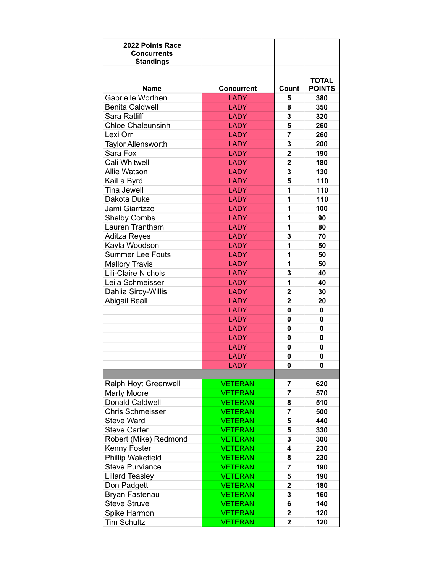| 2022 Points Race<br><b>Concurrents</b><br><b>Standings</b> |                   |                         |               |
|------------------------------------------------------------|-------------------|-------------------------|---------------|
|                                                            |                   |                         | <b>TOTAL</b>  |
| <b>Name</b>                                                | <b>Concurrent</b> | Count                   | <b>POINTS</b> |
| <b>Gabrielle Worthen</b>                                   | <b>LADY</b>       | 5                       | 380           |
| <b>Benita Caldwell</b>                                     | <b>LADY</b>       | 8                       | 350           |
| Sara Ratliff                                               | <b>LADY</b>       | 3                       | 320           |
| <b>Chloe Chaleunsinh</b>                                   | <b>LADY</b>       | 5                       | 260           |
| Lexi Orr                                                   | <b>LADY</b>       | 7                       | 260           |
| <b>Taylor Allensworth</b>                                  | <b>LADY</b>       | 3                       | 200           |
| Sara Fox                                                   | <b>LADY</b>       | $\mathbf{2}$            | 190           |
| Cali Whitwell                                              | <b>LADY</b>       | $\overline{\mathbf{2}}$ | 180           |
| <b>Allie Watson</b>                                        | <b>LADY</b>       | 3                       | 130           |
| KaiLa Byrd                                                 | <b>LADY</b>       | 5                       | 110           |
| <b>Tina Jewell</b>                                         | <b>LADY</b>       | 1                       | 110           |
| Dakota Duke                                                | <b>LADY</b>       | 1                       | 110           |
| Jami Giarrizzo                                             | <b>LADY</b>       | 1                       | 100           |
| <b>Shelby Combs</b>                                        | <b>LADY</b>       | 1                       | 90            |
| Lauren Trantham                                            | <b>LADY</b>       | 1                       | 80            |
| Aditza Reyes                                               | <b>LADY</b>       | 3                       | 70            |
| Kayla Woodson                                              | <b>LADY</b>       | 1                       | 50            |
| <b>Summer Lee Fouts</b>                                    | <b>LADY</b>       | 1                       | 50            |
| <b>Mallory Travis</b>                                      | <b>LADY</b>       | 1                       | 50            |
| <b>Lili-Claire Nichols</b>                                 | <b>LADY</b>       | 3                       | 40            |
| Leila Schmeisser                                           | <b>LADY</b>       | 1                       | 40            |
| Dahlia Sircy-Willis                                        | <b>LADY</b>       | 2                       | 30            |
| <b>Abigail Beall</b>                                       | <b>LADY</b>       | 2                       | 20            |
|                                                            | <b>LADY</b>       | 0                       | $\mathbf 0$   |
|                                                            | <b>LADY</b>       | 0                       | $\mathbf 0$   |
|                                                            | <b>LADY</b>       | 0                       | $\mathbf 0$   |
|                                                            | <b>LADY</b>       | 0                       | 0             |
|                                                            | <b>LADY</b>       | 0                       | 0             |
|                                                            | <b>LADY</b>       | 0                       | 0             |
|                                                            | <b>LADY</b>       | 0                       | 0             |
|                                                            |                   |                         |               |
| Ralph Hoyt Greenwell                                       | <b>VETERAN</b>    | 7                       | 620           |
| <b>Marty Moore</b>                                         | <b>VETERAN</b>    | 7                       | 570           |
| <b>Donald Caldwell</b>                                     | <b>VETERAN</b>    | 8                       | 510           |
| <b>Chris Schmeisser</b>                                    | <b>VETERAN</b>    | 7                       | 500           |
| <b>Steve Ward</b>                                          | <b>VETERAN</b>    | 5                       | 440           |
| <b>Steve Carter</b>                                        | <b>VETERAN</b>    | 5                       | 330           |
| Robert (Mike) Redmond                                      | <b>VETERAN</b>    | 3                       | 300           |
| Kenny Foster                                               | <b>VETERAN</b>    | 4                       | 230           |
| Phillip Wakefield                                          | <b>VETERAN</b>    | 8                       | 230           |
| <b>Steve Purviance</b>                                     | <b>VETERAN</b>    | 7                       | 190           |
| <b>Lillard Teasley</b>                                     | <b>VETERAN</b>    | 5                       | 190           |
| Don Padgett                                                | <b>VETERAN</b>    | 2                       | 180           |
| Bryan Fastenau                                             | <b>VETERAN</b>    | 3                       | 160           |
| <b>Steve Struve</b>                                        | <b>VETERAN</b>    | 6                       | 140           |
| Spike Harmon                                               | <b>VETERAN</b>    | 2                       | 120           |
| <b>Tim Schultz</b>                                         | <b>VETERAN</b>    | $\mathbf{2}$            | 120           |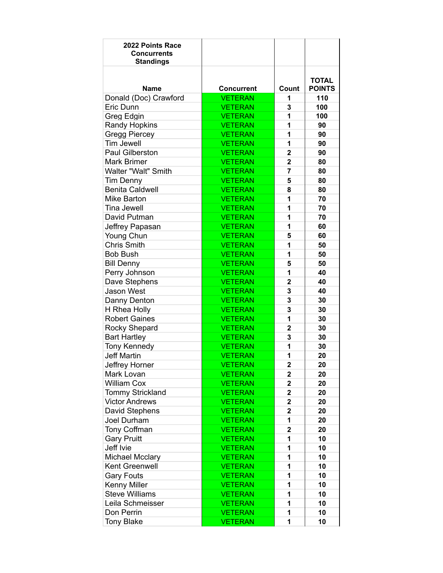| 2022 Points Race<br><b>Concurrents</b><br><b>Standings</b> |                   |                         |                               |
|------------------------------------------------------------|-------------------|-------------------------|-------------------------------|
| <b>Name</b>                                                | <b>Concurrent</b> | Count                   | <b>TOTAL</b><br><b>POINTS</b> |
| Donald (Doc) Crawford                                      | <b>VETERAN</b>    | 1                       | 110                           |
| Eric Dunn                                                  | <b>VETERAN</b>    | 3                       | 100                           |
| Greg Edgin                                                 | <b>VETERAN</b>    | 1                       | 100                           |
| <b>Randy Hopkins</b>                                       | <b>VETERAN</b>    | 1                       | 90                            |
| Gregg Piercey                                              | <b>VETERAN</b>    | 1                       | 90                            |
| <b>Tim Jewell</b>                                          | <b>VETERAN</b>    | 1                       | 90                            |
| Paul Gilberston                                            | <b>VETERAN</b>    | $\mathbf{2}$            | 90                            |
| <b>Mark Brimer</b>                                         | <b>VETERAN</b>    | $\mathbf{2}$            | 80                            |
| Walter "Walt" Smith                                        | <b>VETERAN</b>    | 7                       | 80                            |
| <b>Tim Denny</b>                                           | <b>VETERAN</b>    | 5                       | 80                            |
| <b>Benita Caldwell</b>                                     | <b>VETERAN</b>    | 8                       | 80                            |
| Mike Barton                                                | <b>VETERAN</b>    | 1                       | 70                            |
| Tina Jewell                                                | <b>VETERAN</b>    | 1                       | 70                            |
| David Putman                                               | <b>VETERAN</b>    | 1                       | 70                            |
| Jeffrey Papasan                                            | <b>VETERAN</b>    | 1                       | 60                            |
| Young Chun                                                 | <b>VETERAN</b>    | 5                       | 60                            |
| <b>Chris Smith</b>                                         | <b>VETERAN</b>    | 1                       | 50                            |
| <b>Bob Bush</b>                                            | <b>VETERAN</b>    | 1                       | 50                            |
| <b>Bill Denny</b>                                          | <b>VETERAN</b>    | 5                       | 50                            |
| Perry Johnson                                              | <b>VETERAN</b>    | 1                       | 40                            |
| Dave Stephens                                              | <b>VETERAN</b>    | $\mathbf{2}$            | 40                            |
| <b>Jason West</b>                                          | <b>VETERAN</b>    | 3                       | 40                            |
| Danny Denton                                               | <b>VETERAN</b>    | 3                       | 30                            |
| H Rhea Holly                                               | <b>VETERAN</b>    | 3                       | 30                            |
| <b>Robert Gaines</b>                                       | <b>VETERAN</b>    | 1                       | 30                            |
| Rocky Shepard                                              | <b>VETERAN</b>    | 2                       | 30                            |
| <b>Bart Hartley</b>                                        | <b>VETERAN</b>    | 3                       | 30                            |
| <b>Tony Kennedy</b>                                        | <b>VETERAN</b>    | 1                       | 30                            |
| <b>Jeff Martin</b>                                         | <b>VETERAN</b>    | 1                       | 20                            |
| Jeffrey Horner                                             | VETERAN           | 2                       | 20                            |
| Mark Lovan                                                 | <b>VETERAN</b>    | $\mathbf 2$             | 20                            |
| <b>William Cox</b>                                         | <b>VETERAN</b>    | $\mathbf 2$             | 20                            |
| <b>Tommy Strickland</b>                                    | <b>VETERAN</b>    | $\mathbf 2$             | 20                            |
| <b>Victor Andrews</b>                                      | <b>VETERAN</b>    | $\mathbf 2$             | 20                            |
| David Stephens                                             | <b>VETERAN</b>    | $\overline{\mathbf{2}}$ | 20                            |
| Joel Durham                                                | <b>VETERAN</b>    | 1                       | 20                            |
| Tony Coffman                                               | <b>VETERAN</b>    | $\mathbf 2$             | 20                            |
| <b>Gary Pruitt</b>                                         | <b>VETERAN</b>    | 1                       | 10                            |
| Jeff Ivie                                                  | <b>VETERAN</b>    | 1                       | 10                            |
| <b>Michael Mcclary</b>                                     | <b>VETERAN</b>    | 1                       | 10                            |
| Kent Greenwell                                             | <b>VETERAN</b>    | 1                       | 10                            |
| <b>Gary Fouts</b>                                          | <b>VETERAN</b>    | 1                       | 10                            |
| Kenny Miller                                               | <b>VETERAN</b>    | 1                       | 10                            |
| <b>Steve Williams</b>                                      | <b>VETERAN</b>    | 1                       | 10                            |
| Leila Schmeisser                                           | <b>VETERAN</b>    | 1                       | 10                            |
| Don Perrin                                                 | <b>VETERAN</b>    | 1                       | 10                            |
| <b>Tony Blake</b>                                          | <b>VETERAN</b>    | 1                       | 10                            |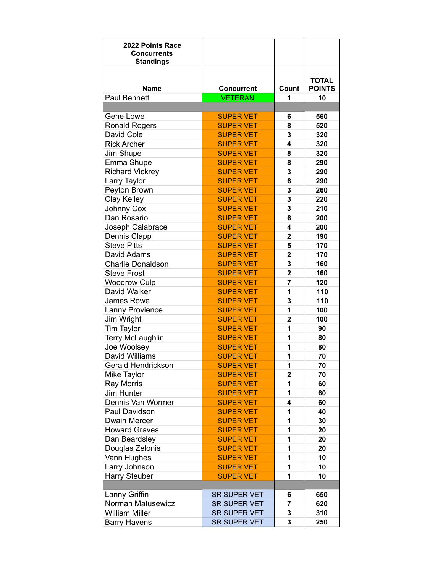| 2022 Points Race<br><b>Concurrents</b><br><b>Standings</b> |                   |                |                               |
|------------------------------------------------------------|-------------------|----------------|-------------------------------|
| <b>Name</b>                                                | <b>Concurrent</b> | Count          | <b>TOTAL</b><br><b>POINTS</b> |
| <b>Paul Bennett</b>                                        | <b>VETERAN</b>    | 1              | 10                            |
|                                                            |                   |                |                               |
| Gene Lowe                                                  | <b>SUPER VET</b>  | 6              | 560                           |
| <b>Ronald Rogers</b>                                       | <b>SUPER VET</b>  | 8              | 520                           |
| David Cole                                                 | <b>SUPER VET</b>  | 3              | 320                           |
| <b>Rick Archer</b>                                         | <b>SUPER VET</b>  | 4              | 320                           |
| Jim Shupe                                                  | <b>SUPER VET</b>  | 8              | 320                           |
| Emma Shupe                                                 | <b>SUPER VET</b>  | 8              | 290                           |
| <b>Richard Vickrey</b>                                     | <b>SUPER VET</b>  | 3              | 290                           |
| Larry Taylor                                               | <b>SUPER VET</b>  | 6              | 290                           |
| Peyton Brown                                               | <b>SUPER VET</b>  | 3              | 260                           |
| <b>Clay Kelley</b>                                         | <b>SUPER VET</b>  | 3              | 220                           |
| Johnny Cox                                                 | <b>SUPER VET</b>  | 3              | 210                           |
| Dan Rosario                                                | <b>SUPER VET</b>  | 6              | 200                           |
| Joseph Calabrace                                           | <b>SUPER VET</b>  | 4              | 200                           |
| Dennis Clapp                                               | <b>SUPER VET</b>  | $\mathbf{2}$   | 190                           |
| <b>Steve Pitts</b>                                         | <b>SUPER VET</b>  | 5              | 170                           |
| David Adams                                                | <b>SUPER VET</b>  | $\overline{2}$ | 170                           |
| <b>Charlie Donaldson</b>                                   | <b>SUPER VET</b>  | 3              | 160                           |
| <b>Steve Frost</b>                                         | <b>SUPER VET</b>  | $\overline{2}$ | 160                           |
| <b>Woodrow Culp</b>                                        | <b>SUPER VET</b>  | 7              | 120                           |
| David Walker                                               | <b>SUPER VET</b>  | 1              | 110                           |
| <b>James Rowe</b>                                          | <b>SUPER VET</b>  | 3              | 110                           |
| Lanny Provience                                            | <b>SUPER VET</b>  | 1              | 100                           |
| Jim Wright                                                 | <b>SUPER VET</b>  | $\overline{2}$ | 100                           |
| <b>Tim Taylor</b>                                          | <b>SUPER VET</b>  | 1              | 90                            |
| <b>Terry McLaughlin</b>                                    | <b>SUPER VET</b>  | 1              | 80                            |
| Joe Woolsey                                                | <b>SUPER VET</b>  | 1              | 80                            |
| David Williams                                             | <b>SUPER VET</b>  | 1              | 70                            |
| Gerald Hendrickson                                         | <b>SUPER VET</b>  | 1              | 70                            |
| Mike Taylor                                                | <b>SUPER VET</b>  | $\overline{2}$ | 70                            |
| Ray Morris                                                 | <b>SUPER VET</b>  | 1              | 60                            |
| Jim Hunter                                                 | <b>SUPER VET</b>  | 1              | 60                            |
| Dennis Van Wormer                                          | <b>SUPER VET</b>  | 4              | 60                            |
| Paul Davidson                                              | <b>SUPER VET</b>  | 1              | 40                            |
| Dwain Mercer                                               | <b>SUPER VET</b>  | 1              | 30                            |
| <b>Howard Graves</b>                                       | <b>SUPER VET</b>  | 1              | 20                            |
| Dan Beardsley                                              | <b>SUPER VET</b>  | 1              | 20                            |
| Douglas Zelonis                                            | <b>SUPER VET</b>  | 1              | 20                            |
| Vann Hughes                                                | <b>SUPER VET</b>  | 1              | 10                            |
| Larry Johnson                                              | <b>SUPER VET</b>  | 1              | 10                            |
| Harry Steuber                                              | <b>SUPER VET</b>  | 1              | 10                            |
| Lanny Griffin                                              | SR SUPER VET      | 6              | 650                           |
| Norman Matusewicz                                          | SR SUPER VET      | 7              | 620                           |
| <b>William Miller</b>                                      | SR SUPER VET      | 3              | 310                           |
| <b>Barry Havens</b>                                        | SR SUPER VET      | 3              | 250                           |